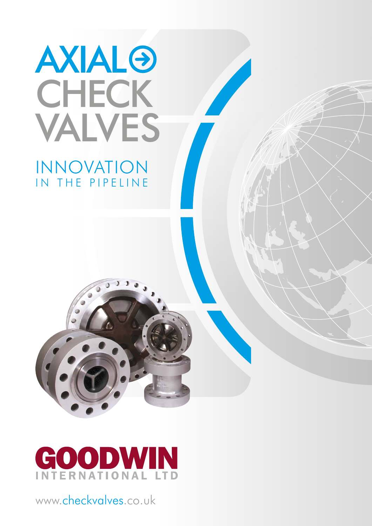

### INNOVATION IN THE PIPELINE





www.checkvalves.co.uk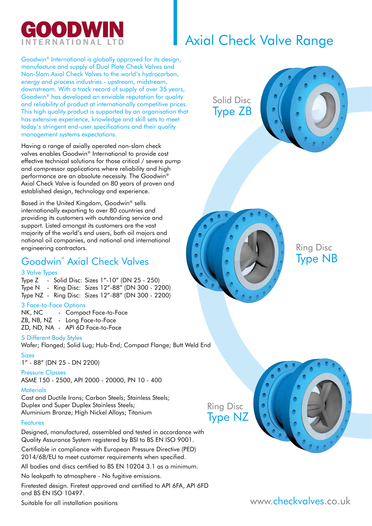

### Axial Check Valve Range

Goodwin® International is globally approved for its design, manufacture and supply of Dual Plate Check Valves and Non-Slam Axial Check Valves to the world's hydrocarbon, energy and process industries - upstream, midstream, downstream. With a track record of supply of over 35 years, Goodwin® has developed an enviable reputation for quality and reliability of product at internationally competitive prices. This high quality product is supported by an organisation that has extensive experience, knowledge and skill sets to meet today's stringent end-user specifications and their quality management systems expectations.

Having a range of axially operated non-slam check valves enables Goodwin® International to provide cost effective technical solutions for those critical / severe pump and compressor applications where reliability and high performance are an absolute necessity. The Goodwin® Axial Check Valve is founded on 80 years of proven and established design, technology and experience.

Based in the United Kingdom, Goodwin® sells internationally exporting to over 80 countries and providing its customers with outstanding service and support. Listed amongst its customers are the vast majority of the world's end users, both oil majors and national oil companies, and national and international engineering contractors.

### Goodwin® Axial Check Valves

#### 3 Valve Types

Type Z - Solid Disc: Sizes 1"-10" (DN 25 - 250) Type N - Ring Disc: Sizes 12"-88" (DN 300 - 2200) Type NZ - Ring Disc: Sizes 12"-88" (DN 300 - 2200)

#### 3 Face-to-Face Options

NK, NC - Compact Face-to-Face ZB, NB, NZ - Long Face-to-Face ZD, ND, NA - API 6D Face-to-Face

#### 5 Different Body Styles

Wafer; Flanged; Solid Lug; Hub-End; Compact Flange; Butt Weld End Sizes

1" - 88" (DN 25 - DN 2200)

#### Pressure Classes

ASME 150 - 2500, API 2000 - 20000, PN 10 - 400

#### **Materials**

Cast and Ductile Irons; Carbon Steels; Stainless Steels; Duplex and Super Duplex Stainless Steels; Aluminium Bronze; High Nickel Alloys; Titanium

#### Features

Designed, manufactured, assembled and tested in accordance with Quality Assurance System registered by BSI to BS EN ISO 9001.

Certifiable in compliance with European Pressure Directive (PED) 2014/68/EU to meet customer requirements when specified.

All bodies and discs certified to BS EN 10204 3.1 as a minimum.

No leakpath to atmosphere - No fugitive emissions.

Firetested design. Firetest approved and certified to API 6FA, API 6FD and BS EN ISO 10497.

Suitable for all installation positions

Solid Disc Type ZB





Ring Disc Type NB

Ring Disc Type NZ

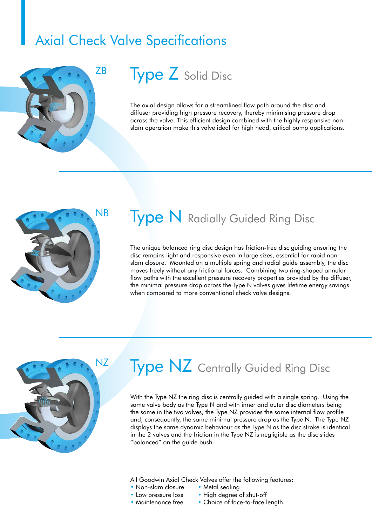### Axial Check Valve Specifications



## **Type Z** Solid Disc

The axial design allows for a streamlined flow path around the disc and diffuser providing high pressure recovery, thereby minimising pressure drop across the valve. This efficient design combined with the highly responsive nonslam operation make this valve ideal for high head, critical pump applications.



### **Type N** Radially Guided Ring Disc

The unique balanced ring disc design has friction-free disc guiding ensuring the disc remains light and responsive even in large sizes, essential for rapid nonslam closure. Mounted on a multiple spring and radial guide assembly, the disc moves freely without any frictional forces. Combining two ring-shaped annular flow paths with the excellent pressure recovery properties provided by the diffuser, the minimal pressure drop across the Type N valves gives lifetime energy savings when compared to more conventional check valve designs.



# **Type NZ** Centrally Guided Ring Disc

With the Type NZ the ring disc is centrally guided with a single spring. Using the same valve body as the Type N and with inner and outer disc diameters being the same in the two valves, the Type NZ provides the same internal flow profile and, consequently, the same minimal pressure drop as the Type N. The Type NZ displays the same dynamic behaviour as the Type N as the disc stroke is identical in the 2 valves and the friction in the Type NZ is negligible as the disc slides "balanced" on the guide bush.

All Goodwin Axial Check Valves offer the following features:

- Non-slam closure Metal sealing
- 
- 
- Low pressure loss High degree of shut-off
- Maintenance free Choice of face-to-face length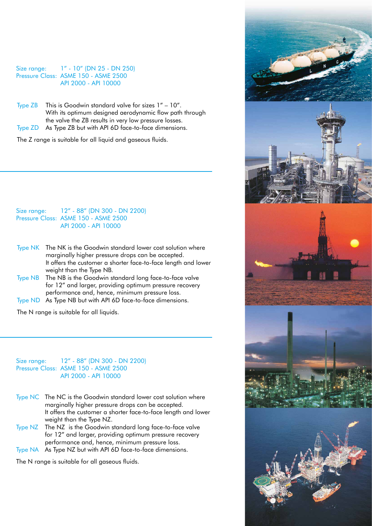Size range: 1" - 10" (DN 25 - DN 250) Pressure Class: ASME 150 - ASME 2500 API 2000 - API 10000

Type ZB This is Goodwin standard valve for sizes 1" – 10". With its optimum designed aerodynamic flow path through the valve the ZB results in very low pressure losses. Type ZD As Type ZB but with API 6D face-to-face dimensions.

The Z range is suitable for all liquid and gaseous fluids.

Size range: 12" - 88" (DN 300 - DN 2200) Pressure Class: ASME 150 - ASME 2500 API 2000 - API 10000

- Type NK The NK is the Goodwin standard lower cost solution where marginally higher pressure drops can be accepted. It offers the customer a shorter face-to-face length and lower weight than the Type NB.
- Type NB The NB is the Goodwin standard long face-to-face valve for 12" and larger, providing optimum pressure recovery performance and, hence, minimum pressure loss.
- Type ND As Type NB but with API 6D face-to-face dimensions.

The N range is suitable for all liquids.

Size range: 12" - 88" (DN 300 - DN 2200) Pressure Class: ASME 150 - ASME 2500 API 2000 - API 10000

- Type NC The NC is the Goodwin standard lower cost solution where marginally higher pressure drops can be accepted. It offers the customer a shorter face-to-face length and lower weight than the Type NZ.
- Type NZ The NZ is the Goodwin standard long face-to-face valve for 12" and larger, providing optimum pressure recovery performance and, hence, minimum pressure loss.
- Type NA As Type NZ but with API 6D face-to-face dimensions.

The N range is suitable for all gaseous fluids.

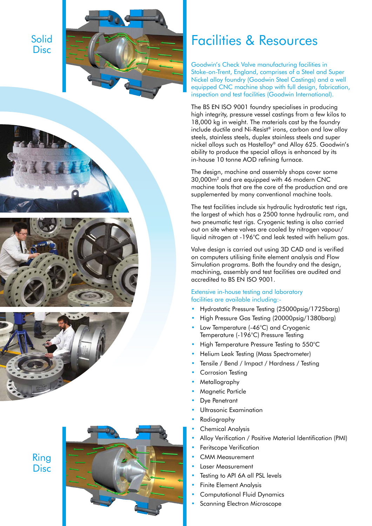Solid **Disc** 









Ring **Disc** 



### Facilities & Resources

Goodwin's Check Valve manufacturing facilities in Stoke-on-Trent, England, comprises of a Steel and Super Nickel alloy foundry (Goodwin Steel Castings) and a well equipped CNC machine shop with full design, fabrication, inspection and test facilities (Goodwin International).

The BS EN ISO 9001 foundry specialises in producing high integrity, pressure vessel castings from a few kilos to 18,000 kg in weight. The materials cast by the foundry include ductile and Ni-Resist ® irons, carbon and low alloy steels, stainless steels, duplex stainless steels and super nickel alloys such as Hastelloy ® and Alloy 625. Goodwin's ability to produce the special alloys is enhanced by its in-house 10 tonne AOD refining furnace.

The design, machine and assembly shops cover some 30,000m 2 and are equipped with 46 modern CNC machine tools that are the core of the production and are supplemented by many conventional machine tools.

The test facilities include six hydraulic hydrostatic test rigs, the largest of which has a 2500 tonne hydraulic ram, and two pneumatic test rigs. Cryogenic testing is also carried out on site where valves are cooled by nitrogen vapour/ liquid nitrogen at -196°C and leak tested with helium gas.

Valve design is carried out using 3D CAD and is verified on computers utilising finite element analysis and Flow Simulation programs. Both the foundry and the design, machining, assembly and test facilities are audited and accredited to BS EN ISO 9001.

#### Extensive in-house testing and laboratory facilities are available including:-

- Hydrostatic Pressure Testing (25000psig/1725barg)
- High Pressure Gas Testing (20000psig/1380barg)
- Low Temperature (-46°C) and Cryogenic Temperature (-196°C) Pressure Testing
- High Temperature Pressure Testing to 550°C
- Helium Leak Testing (Mass Spectrometer)
- Tensile / Bend / Impact / Hardness / Testing
- Corrosion Testing
- Metallography
- Magnetic Particle
- Dve Penetrant
- Ultrasonic Examination
- Radiography
- Chemical Analysis
- Alloy Verification / Positive Material Identification (PMI)
- Feritscope Verification
- CMM Measurement
- Laser Measurement
- Testing to API 6A all PSL levels
- Finite Element Analysis
- Computational Fluid Dynamics
- Scanning Electron Microscope